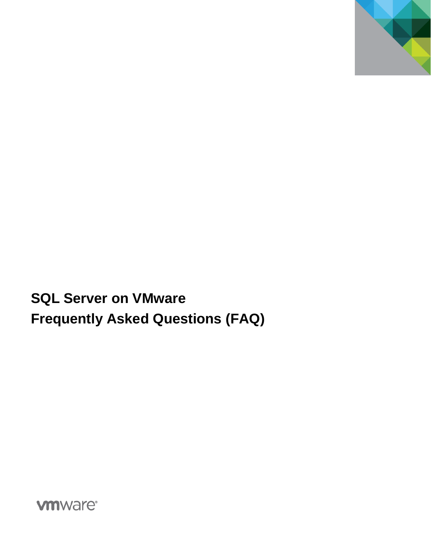

**SQL Server on VMware Frequently Asked Questions (FAQ)**

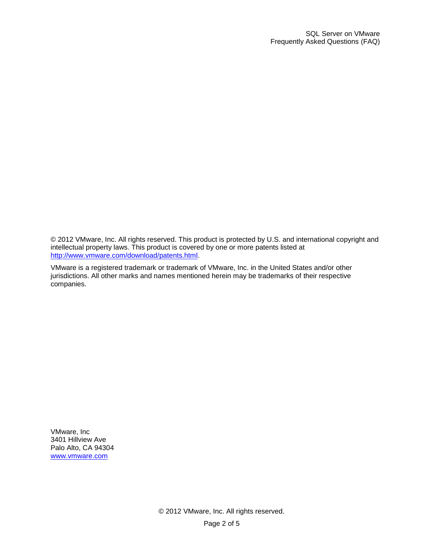© 2012 VMware, Inc. All rights reserved. This product is protected by U.S. and international copyright and intellectual property laws. This product is covered by one or more patents listed at [http://www.vmware.com/download/patents.html.](http://www.vmware.com/download/patents.html)

VMware is a registered trademark or trademark of VMware, Inc. in the United States and/or other jurisdictions. All other marks and names mentioned herein may be trademarks of their respective companies.

VMware, Inc 3401 Hillview Ave Palo Alto, CA 94304 [www.vmware.com](http://www.vmware.com/)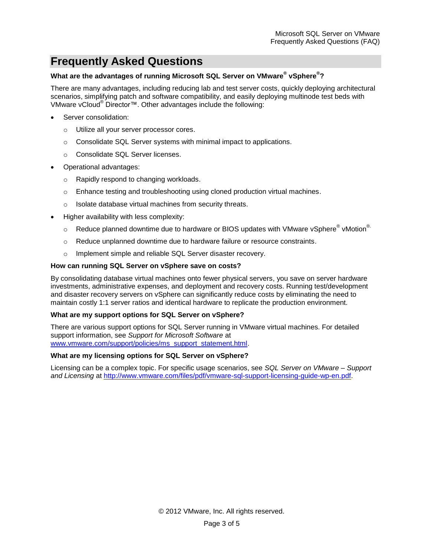# **Frequently Asked Questions**

# **What are the advantages of running Microsoft SQL Server on VMware® vSphere® ?**

There are many advantages, including reducing lab and test server costs, quickly deploying architectural scenarios, simplifying patch and software compatibility, and easily deploying multinode test beds with VMware vCloud® Director™. Other advantages include the following:

- Server consolidation:
	- o Utilize all your server processor cores.
	- $\circ$  Consolidate SQL Server systems with minimal impact to applications.
	- o Consolidate SQL Server licenses.
- Operational advantages:
	- o Rapidly respond to changing workloads.
	- $\circ$  Enhance testing and troubleshooting using cloned production virtual machines.
	- o Isolate database virtual machines from security threats.
- Higher availability with less complexity:
	- $\circ$  Reduce planned downtime due to hardware or BIOS updates with VMware vSphere® vMotion®
	- $\circ$  Reduce unplanned downtime due to hardware failure or resource constraints.
	- o Implement simple and reliable SQL Server disaster recovery.

#### **How can running SQL Server on vSphere save on costs?**

By consolidating database virtual machines onto fewer physical servers, you save on server hardware investments, administrative expenses, and deployment and recovery costs. Running test/development and disaster recovery servers on vSphere can significantly reduce costs by eliminating the need to maintain costly 1:1 server ratios and identical hardware to replicate the production environment.

## **What are my support options for SQL Server on vSphere?**

There are various support options for SQL Server running in VMware virtual machines. For detailed support information, see *Support for Microsoft Software* at [www.vmware.com/support/policies/ms\\_support\\_statement.html.](http://www.vmware.com/support/policies/ms_support_statement.html)

## **What are my licensing options for SQL Server on vSphere?**

Licensing can be a complex topic. For specific usage scenarios, see *SQL Server on VMware – Support and Licensing* at [http://www.vmware.com/files/pdf/vmware-sql-support-licensing-guide-wp-en.pdf.](http://www.vmware.com/files/pdf/vmware-sql-support-licensing-guide-wp-en.pdf)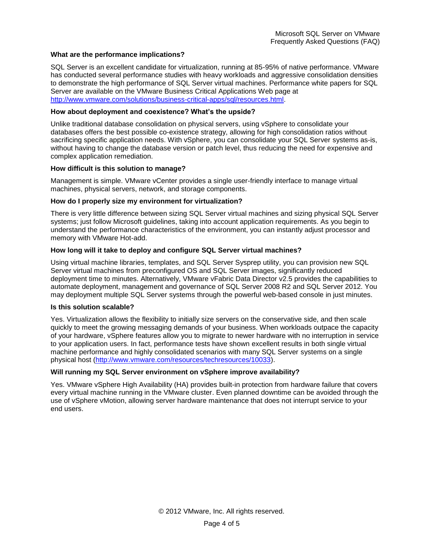## **What are the performance implications?**

SQL Server is an excellent candidate for virtualization, running at 85-95% of native performance. VMware has conducted several performance studies with heavy workloads and aggressive consolidation densities to demonstrate the high performance of SQL Server virtual machines. Performance white papers for SQL Server are available on the VMware Business Critical Applications Web page at [http://www.vmware.com/solutions/business-critical-apps/sql/resources.html.](http://www.vmware.com/solutions/business-critical-apps/sql/resources.html)

## **How about deployment and coexistence? What's the upside?**

Unlike traditional database consolidation on physical servers, using vSphere to consolidate your databases offers the best possible co-existence strategy, allowing for high consolidation ratios without sacrificing specific application needs. With vSphere, you can consolidate your SQL Server systems as-is, without having to change the database version or patch level, thus reducing the need for expensive and complex application remediation.

## **How difficult is this solution to manage?**

Management is simple. VMware vCenter provides a single user-friendly interface to manage virtual machines, physical servers, network, and storage components.

# **How do I properly size my environment for virtualization?**

There is very little difference between sizing SQL Server virtual machines and sizing physical SQL Server systems; just follow Microsoft guidelines, taking into account application requirements. As you begin to understand the performance characteristics of the environment, you can instantly adjust processor and memory with VMware Hot-add.

# **How long will it take to deploy and configure SQL Server virtual machines?**

Using virtual machine libraries, templates, and SQL Server Sysprep utility, you can provision new SQL Server virtual machines from preconfigured OS and SQL Server images, significantly reduced deployment time to minutes. Alternatively, VMware vFabric Data Director v2.5 provides the capabilities to automate deployment, management and governance of SQL Server 2008 R2 and SQL Server 2012. You may deployment multiple SQL Server systems through the powerful web-based console in just minutes.

## **Is this solution scalable?**

Yes. Virtualization allows the flexibility to initially size servers on the conservative side, and then scale quickly to meet the growing messaging demands of your business. When workloads outpace the capacity of your hardware, vSphere features allow you to migrate to newer hardware with no interruption in service to your application users. In fact, performance tests have shown excellent results in both single virtual machine performance and highly consolidated scenarios with many SQL Server systems on a single physical host [\(http://www.vmware.com/resources/techresources/10033\)](http://www.vmware.com/resources/techresources/10033).

## **Will running my SQL Server environment on vSphere improve availability?**

Yes. VMware vSphere High Availability (HA) provides built-in protection from hardware failure that covers every virtual machine running in the VMware cluster. Even planned downtime can be avoided through the use of vSphere vMotion, allowing server hardware maintenance that does not interrupt service to your end users.